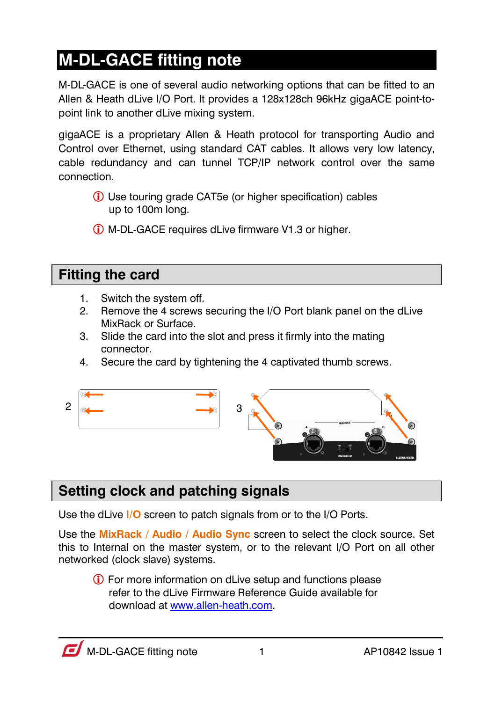## **M-DL-GACE fitting note**

M-DL-GACE is one of several audio networking options that can be fitted to an Allen & Heath dLive I/O Port. It provides a 128x128ch 96kHz gigaACE point-topoint link to another dLive mixing system.

gigaACE is a proprietary Allen & Heath protocol for transporting Audio and Control over Ethernet, using standard CAT cables. It allows very low latency, cable redundancy and can tunnel TCP/IP network control over the same connection.

- Use touring grade CAT5e (or higher specification) cables up to 100m long.
- M-DL-GACE requires dLive firmware V1.3 or higher.

### **Fitting the card**

- 1. Switch the system off.
- 2. Remove the 4 screws securing the I/O Port blank panel on the dLive MixRack or Surface.
- 3. Slide the card into the slot and press it firmly into the mating connector.
- 4. Secure the card by tightening the 4 captivated thumb screws.



### **Setting clock and patching signals**

Use the dLive **I/O** screen to patch signals from or to the I/O Ports.

Use the **MixRack / Audio / Audio Sync** screen to select the clock source. Set this to Internal on the master system, or to the relevant I/O Port on all other networked (clock slave) systems.

 For more information on dLive setup and functions please refer to the dLive Firmware Reference Guide available for download a[t www.allen-heath.com.](http://www.allen-heath.com/)